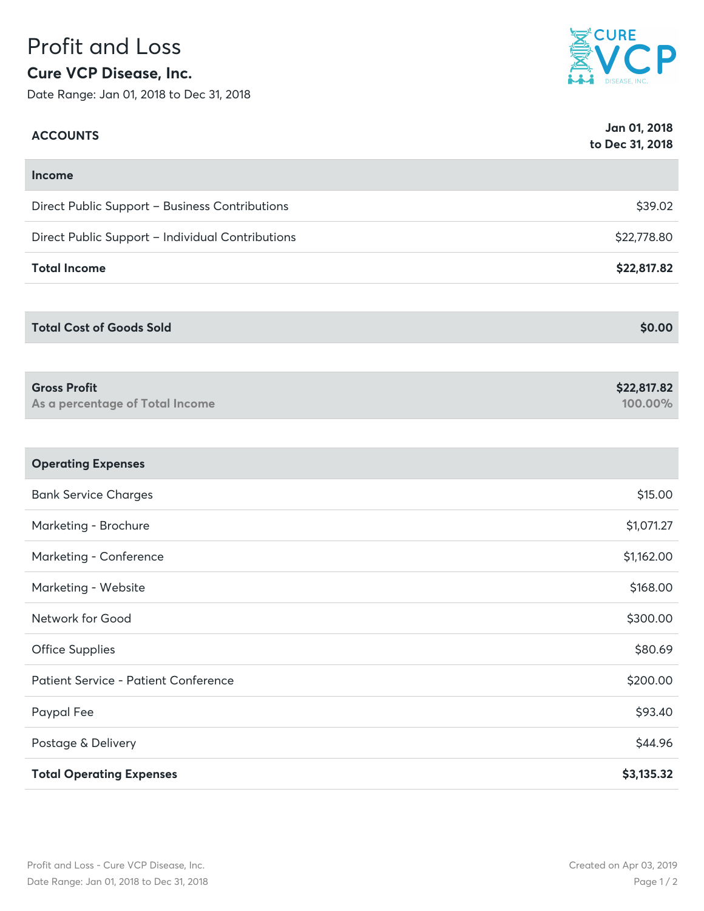## Profit and Loss **Cure VCP Disease, Inc.**

Date Range: Jan 01, 2018 to Dec 31, 2018



| <b>ACCOUNTS</b>                                        | Jan 01, 2018<br>to Dec 31, 2018 |
|--------------------------------------------------------|---------------------------------|
| Income                                                 |                                 |
| Direct Public Support - Business Contributions         | \$39.02                         |
| Direct Public Support - Individual Contributions       | \$22,778.80                     |
| <b>Total Income</b>                                    | \$22,817.82                     |
|                                                        |                                 |
| <b>Total Cost of Goods Sold</b>                        | \$0.00                          |
|                                                        |                                 |
| <b>Gross Profit</b><br>As a percentage of Total Income | \$22,817.82<br>100.00%          |
|                                                        |                                 |
| <b>Operating Expenses</b>                              |                                 |
| <b>Bank Service Charges</b>                            | \$15.00                         |
| Marketing - Brochure                                   | \$1,071.27                      |
| Marketing - Conference                                 | \$1,162.00                      |
| Marketing - Website                                    | \$168.00                        |
| Network for Good                                       | \$300.00                        |
| <b>Office Supplies</b>                                 | \$80.69                         |
| <b>Patient Service - Patient Conference</b>            | \$200.00                        |
| Paypal Fee                                             | \$93.40                         |
| Postage & Delivery                                     | \$44.96                         |
| <b>Total Operating Expenses</b>                        | \$3,135.32                      |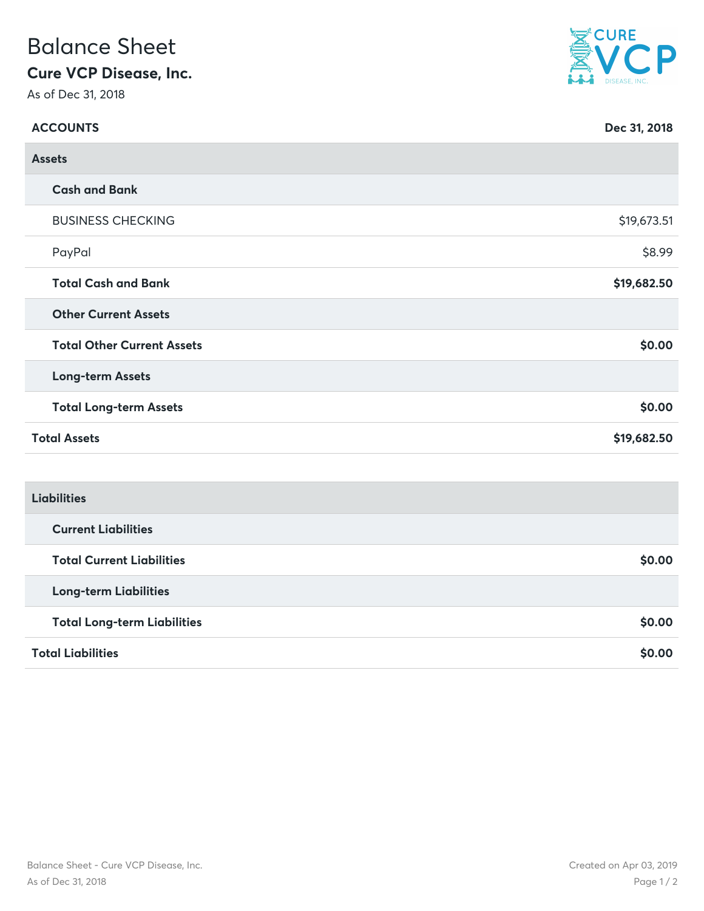## Balance Sheet

## **Cure VCP Disease, Inc.**

As of Dec 31, 2018



| <b>ACCOUNTS</b>     |                                    | Dec 31, 2018 |  |  |
|---------------------|------------------------------------|--------------|--|--|
| <b>Assets</b>       |                                    |              |  |  |
|                     | <b>Cash and Bank</b>               |              |  |  |
|                     | <b>BUSINESS CHECKING</b>           | \$19,673.51  |  |  |
|                     | PayPal                             | \$8.99       |  |  |
|                     | <b>Total Cash and Bank</b>         | \$19,682.50  |  |  |
|                     | <b>Other Current Assets</b>        |              |  |  |
|                     | <b>Total Other Current Assets</b>  | \$0.00       |  |  |
|                     | <b>Long-term Assets</b>            |              |  |  |
|                     | <b>Total Long-term Assets</b>      | \$0.00       |  |  |
| <b>Total Assets</b> |                                    | \$19,682.50  |  |  |
|                     |                                    |              |  |  |
| <b>Liabilities</b>  |                                    |              |  |  |
|                     | <b>Current Liabilities</b>         |              |  |  |
|                     | <b>Total Current Liabilities</b>   | \$0.00       |  |  |
|                     | <b>Long-term Liabilities</b>       |              |  |  |
|                     | <b>Total Long-term Liabilities</b> | \$0.00       |  |  |
|                     |                                    |              |  |  |

**Total Liabilities \$0.00**